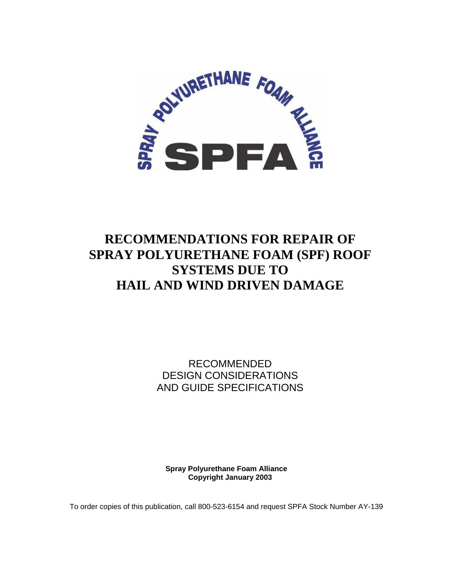

# **RECOMMENDATIONS FOR REPAIR OF SPRAY POLYURETHANE FOAM (SPF) ROOF SYSTEMS DUE TO HAIL AND WIND DRIVEN DAMAGE**

RECOMMENDED DESIGN CONSIDERATIONS AND GUIDE SPECIFICATIONS

**Spray Polyurethane Foam Alliance Copyright January 2003**

To order copies of this publication, call 800-523-6154 and request SPFA Stock Number AY-139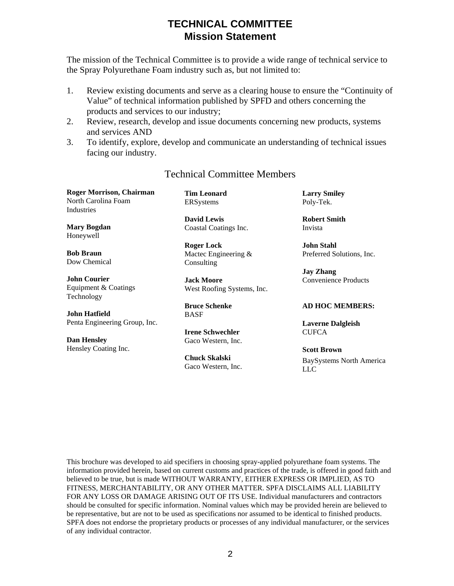## **TECHNICAL COMMITTEE Mission Statement**

The mission of the Technical Committee is to provide a wide range of technical service to the Spray Polyurethane Foam industry such as, but not limited to:

- 1. Review existing documents and serve as a clearing house to ensure the "Continuity of Value" of technical information published by SPFD and others concerning the products and services to our industry;
- 2. Review, research, develop and issue documents concerning new products, systems and services AND
- 3. To identify, explore, develop and communicate an understanding of technical issues facing our industry.

#### Technical Committee Members

**Roger Morrison, Chairman**  North Carolina Foam Industries

**Mary Bogdan**  Honeywell

**Bob Braun**  Dow Chemical

**John Courier**  Equipment & Coatings Technology

**John Hatfield**  Penta Engineering Group, Inc.

**Dan Hensley**  Hensley Coating Inc. **Tim Leonard**  ERSystems

**David Lewis**  Coastal Coatings Inc.

**Roger Lock**  Mactec Engineering & **Consulting** 

**Jack Moore**  West Roofing Systems, Inc.

**Bruce Schenke**  BASF

**Irene Schwechler**  Gaco Western, Inc.

**Chuck Skalski**  Gaco Western, Inc. **Larry Smiley**  Poly-Tek.

**Robert Smith**  Invista

**John Stahl**  Preferred Solutions, Inc.

**Jay Zhang**  Convenience Products

#### **AD HOC MEMBERS:**

**Laverne Dalgleish CUFCA** 

**Scott Brown**  BaySystems North America LLC

This brochure was developed to aid specifiers in choosing spray-applied polyurethane foam systems. The information provided herein, based on current customs and practices of the trade, is offered in good faith and believed to be true, but is made WITHOUT WARRANTY, EITHER EXPRESS OR IMPLIED, AS TO FITNESS, MERCHANTABILITY, OR ANY OTHER MATTER. SPFA DISCLAIMS ALL LIABILITY FOR ANY LOSS OR DAMAGE ARISING OUT OF ITS USE. Individual manufacturers and contractors should be consulted for specific information. Nominal values which may be provided herein are believed to be representative, but are not to be used as specifications nor assumed to be identical to finished products. SPFA does not endorse the proprietary products or processes of any individual manufacturer, or the services of any individual contractor.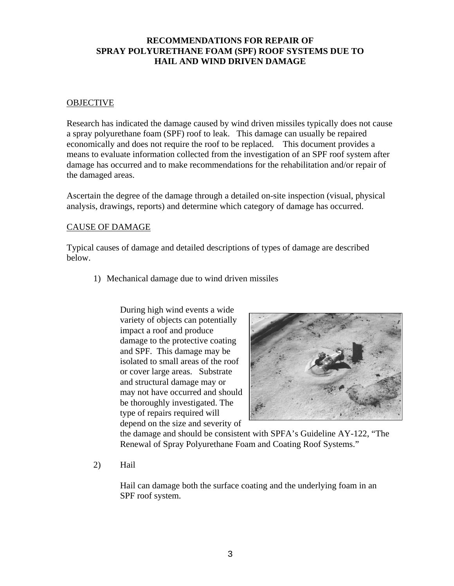#### **RECOMMENDATIONS FOR REPAIR OF SPRAY POLYURETHANE FOAM (SPF) ROOF SYSTEMS DUE TO HAIL AND WIND DRIVEN DAMAGE**

#### **OBJECTIVE**

Research has indicated the damage caused by wind driven missiles typically does not cause a spray polyurethane foam (SPF) roof to leak. This damage can usually be repaired economically and does not require the roof to be replaced. This document provides a means to evaluate information collected from the investigation of an SPF roof system after damage has occurred and to make recommendations for the rehabilitation and/or repair of the damaged areas.

Ascertain the degree of the damage through a detailed on-site inspection (visual, physical analysis, drawings, reports) and determine which category of damage has occurred.

#### CAUSE OF DAMAGE

Typical causes of damage and detailed descriptions of types of damage are described below.

1) Mechanical damage due to wind driven missiles

During high wind events a wide variety of objects can potentially impact a roof and produce damage to the protective coating and SPF. This damage may be isolated to small areas of the roof or cover large areas. Substrate and structural damage may or may not have occurred and should be thoroughly investigated. The type of repairs required will depend on the size and severity of



the damage and should be consistent with SPFA's Guideline AY-122, "The Renewal of Spray Polyurethane Foam and Coating Roof Systems."

2) Hail

Hail can damage both the surface coating and the underlying foam in an SPF roof system.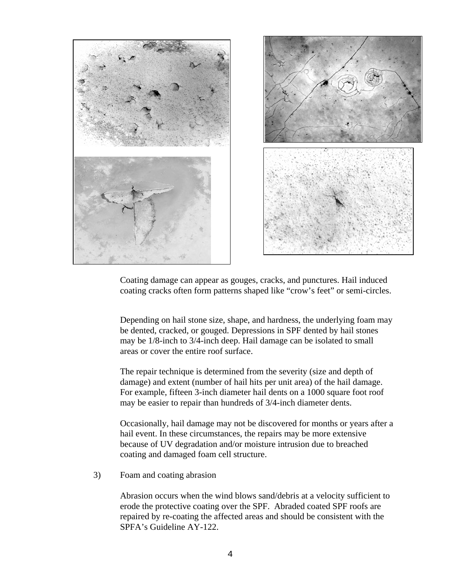

Coating damage can appear as gouges, cracks, and punctures. Hail induced coating cracks often form patterns shaped like "crow's feet" or semi-circles.

Depending on hail stone size, shape, and hardness, the underlying foam may be dented, cracked, or gouged. Depressions in SPF dented by hail stones may be 1/8-inch to 3/4-inch deep. Hail damage can be isolated to small areas or cover the entire roof surface.

The repair technique is determined from the severity (size and depth of damage) and extent (number of hail hits per unit area) of the hail damage. For example, fifteen 3-inch diameter hail dents on a 1000 square foot roof may be easier to repair than hundreds of 3/4-inch diameter dents.

Occasionally, hail damage may not be discovered for months or years after a hail event. In these circumstances, the repairs may be more extensive because of UV degradation and/or moisture intrusion due to breached coating and damaged foam cell structure.

3) Foam and coating abrasion

Abrasion occurs when the wind blows sand/debris at a velocity sufficient to erode the protective coating over the SPF. Abraded coated SPF roofs are repaired by re-coating the affected areas and should be consistent with the SPFA's Guideline AY-122.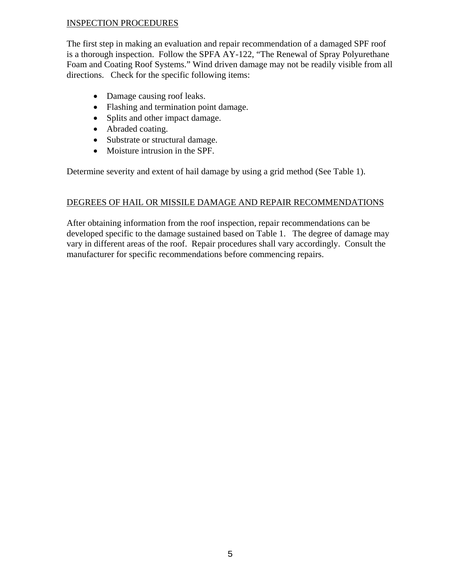#### INSPECTION PROCEDURES

The first step in making an evaluation and repair recommendation of a damaged SPF roof is a thorough inspection. Follow the SPFA AY-122, "The Renewal of Spray Polyurethane Foam and Coating Roof Systems." Wind driven damage may not be readily visible from all directions. Check for the specific following items:

- Damage causing roof leaks.
- Flashing and termination point damage.
- Splits and other impact damage.
- Abraded coating.
- Substrate or structural damage.
- Moisture intrusion in the SPF.

Determine severity and extent of hail damage by using a grid method (See Table 1).

#### DEGREES OF HAIL OR MISSILE DAMAGE AND REPAIR RECOMMENDATIONS

After obtaining information from the roof inspection, repair recommendations can be developed specific to the damage sustained based on Table 1. The degree of damage may vary in different areas of the roof. Repair procedures shall vary accordingly. Consult the manufacturer for specific recommendations before commencing repairs.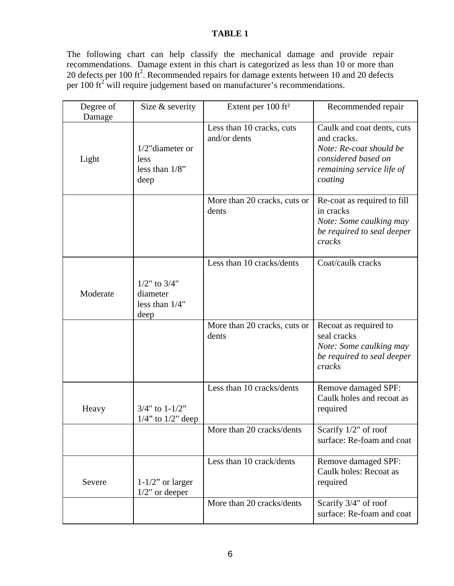### **TABLE 1**

The following chart can help classify the mechanical damage and provide repair recommendations. Damage extent in this chart is categorized as less than 10 or more than 20 defects per 100 ft<sup>2</sup>. Recommended repairs for damage extents between 10 and 20 defects per 100  $\text{ft}^2$  will require judgement based on manufacturer's recommendations.

| Degree of<br>Damage | Size & severity                                            | Extent per 100 ft <sup>2</sup>            | Recommended repair                                                                                                                  |
|---------------------|------------------------------------------------------------|-------------------------------------------|-------------------------------------------------------------------------------------------------------------------------------------|
| Light               | $1/2$ "diameter or<br>less<br>less than $1/8$ "<br>deep    | Less than 10 cracks, cuts<br>and/or dents | Caulk and coat dents, cuts<br>and cracks.<br>Note: Re-coat should be<br>considered based on<br>remaining service life of<br>coating |
|                     |                                                            | More than 20 cracks, cuts or<br>dents     | Re-coat as required to fill<br>in cracks<br>Note: Some caulking may<br>be required to seal deeper<br>cracks                         |
| Moderate            | $1/2$ " to $3/4$ "<br>diameter<br>less than $1/4"$<br>deep | Less than 10 cracks/dents                 | Coat/caulk cracks                                                                                                                   |
|                     |                                                            | More than 20 cracks, cuts or<br>dents     | Recoat as required to<br>seal cracks<br>Note: Some caulking may<br>be required to seal deeper<br>cracks                             |
| Heavy               | $3/4"$ to $1-1/2"$<br>$1/4$ " to $1/2$ " deep              | Less than 10 cracks/dents                 | <b>Remove damaged SPF:</b><br>Caulk holes and recoat as<br>required                                                                 |
|                     |                                                            | More than 20 cracks/dents                 | Scarify $1/2$ " of roof<br>surface: Re-foam and coat                                                                                |
| Severe              | $1-1/2$ " or larger<br>$1/2$ " or deeper                   | Less than 10 crack/dents                  | Remove damaged SPF:<br>Caulk holes: Recoat as<br>required                                                                           |
|                     |                                                            | More than 20 cracks/dents                 | Scarify 3/4" of roof<br>surface: Re-foam and coat                                                                                   |